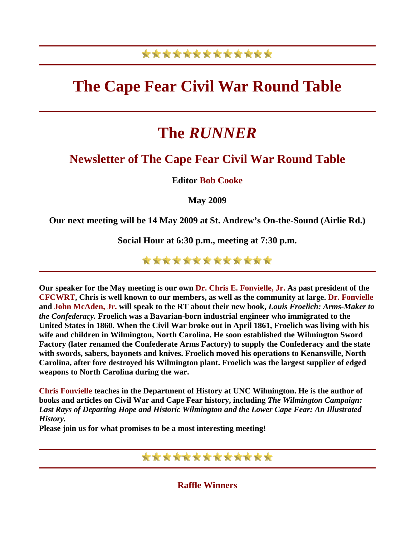### \*\*\*\*\*\*\*\*\*\*\*\*\*

## **The Cape Fear Civil War Round Table**

# **The** *RUNNER*

### **Newsletter of The Cape Fear Civil War Round Table**

**Editor Bob Cooke**

**May 2009** 

**Our next meeting will be 14 May 2009 at St. Andrew's On-the-Sound (Airlie Rd.)** 

**Social Hour at 6:30 p.m., meeting at 7:30 p.m.** 

\*\*\*\*\*\*\*\*\*\*\*\*\*

**Our speaker for the May meeting is our own Dr. Chris E. Fonvielle, Jr. As past president of the CFCWRT, Chris is well known to our members, as well as the community at large. Dr. Fonvielle and John McAden, Jr. will speak to the RT about their new book,** *Louis Froelich: Arms-Maker to the Confederacy.* **Froelich was a Bavarian-born industrial engineer who immigrated to the United States in 1860. When the Civil War broke out in April 1861, Froelich was living with his wife and children in Wilmington, North Carolina. He soon established the Wilmington Sword Factory (later renamed the Confederate Arms Factory) to supply the Confederacy and the state with swords, sabers, bayonets and knives. Froelich moved his operations to Kenansville, North Carolina, after fore destroyed his Wilmington plant. Froelich was the largest supplier of edged weapons to North Carolina during the war.**

**Chris Fonvielle teaches in the Department of History at UNC Wilmington. He is the author of books and articles on Civil War and Cape Fear history, including** *The Wilmington Campaign: Last Rays of Departing Hope and Historic Wilmington and the Lower Cape Fear: An Illustrated History.* 

**Please join us for what promises to be a most interesting meeting!**



**Raffle Winners**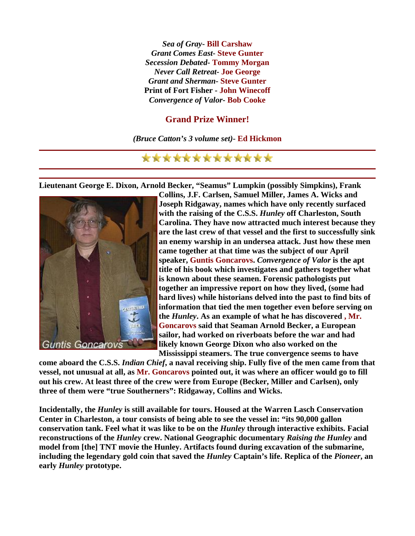*Sea of Gray***- Bill Carshaw** *Grant Comes East***- Steve Gunter** *Secession Debated***- Tommy Morgan** *Never Call Retreat***- Joe George** *Grant and Sherman***- Steve Gunter Print of Fort Fisher - John Winecoff** *Convergence of Valor***- Bob Cooke**

#### **Grand Prize Winner!**

*(Bruce Catton's 3 volume set)***- Ed Hickmon**

#### \*\*\*\*\*\*\*\*\*\*\*\*\*

**Lieutenant George E. Dixon, Arnold Becker, "Seamus" Lumpkin (possibly Simpkins), Frank** 



**Collins, J.F. Carlsen, Samuel Miller, James A. Wicks and Joseph Ridgaway, names which have only recently surfaced with the raising of the C.S.S.** *Hunley* **off Charleston, South Carolina. They have now attracted much interest because t hey are the last crew of that vessel and the first to succes sfully sink**  an enemy warship in an undersea attack. Just how these men **came together at that time was the subject of our April speaker, Guntis Goncarovs.** *Convergence of Valor* **is the apt title of his book which investigates and gathers together w hat**  is known about these seamen. Forensic pathologists put **together an impressive report on how they lived, (some had**  hard lives) while historians delved into the past to find bits of **information that tied the men together even before serving on the** *Hunley***. As an example of what he has discovered , Mr. Goncarovs said that Seaman Arnold Becker, a European sailor, had worked on riverboats before the war and had likely known George Dixon who also worked on the Mississippi steamers. The true convergence seems to have** 

**come aboard the C.S.S.** *Indian Chief***, a naval receiving ship. Fully five of the men came from that vessel, not unusual at all, as Mr. Goncarovs pointed out, it was where an officer would go to fill out his crew. At least three of the crew were from Europe (Becker, Miller and Carlsen), only three of them were "true Southerners": Ridgaway, Collins and Wicks.** 

**Incidentally, the** *Hunley* **is still available for tours. Housed at the Warren Lasch Conservation Center in Charleston, a tour consists of being able to see the vessel in: "its 90,000 gallon conservation tank. Feel what it was like to be on the** *Hunley* **through interactive exhibits. Facial reconstructions of the** *Hunley* **crew. National Geographic documentary** *Raising the Hunley* **and model from [the] TNT movie the Hunley. Artifacts found during excavation of the submarine, including the legendary gold coin that saved the** *Hunley* **Captain's life. Replica of the** *Pioneer***, an early** *Hunley* **prototype.**